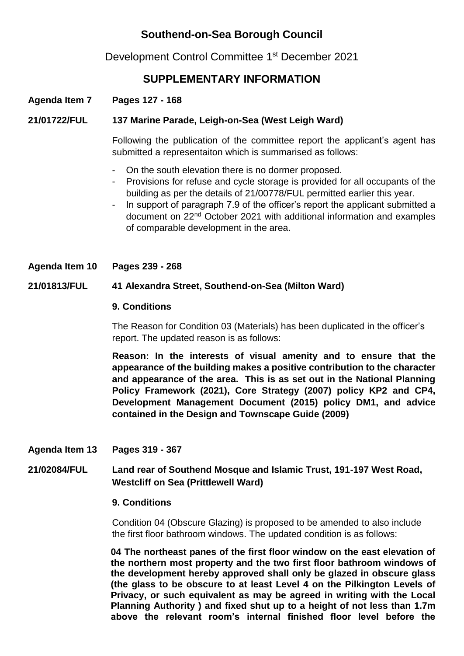# **Southend-on-Sea Borough Council**

Development Control Committee 1<sup>st</sup> December 2021

# **SUPPLEMENTARY INFORMATION**

# **Agenda Item 7 Pages 127 - 168**

## **21/01722/FUL 137 Marine Parade, Leigh-on-Sea (West Leigh Ward)**

Following the publication of the committee report the applicant's agent has submitted a representaiton which is summarised as follows:

- On the south elevation there is no dormer proposed.
- Provisions for refuse and cycle storage is provided for all occupants of the building as per the details of 21/00778/FUL permitted earlier this year.
- In support of paragraph 7.9 of the officer's report the applicant submitted a document on 22nd October 2021 with additional information and examples of comparable development in the area.

**Agenda Item 10 Pages 239 - 268**

#### **21/01813/FUL 41 Alexandra Street, Southend-on-Sea (Milton Ward)**

#### **9. Conditions**

The Reason for Condition 03 (Materials) has been duplicated in the officer's report. The updated reason is as follows:

**Reason: In the interests of visual amenity and to ensure that the appearance of the building makes a positive contribution to the character and appearance of the area. This is as set out in the National Planning Policy Framework (2021), Core Strategy (2007) policy KP2 and CP4, Development Management Document (2015) policy DM1, and advice contained in the Design and Townscape Guide (2009)**

#### **Agenda Item 13 Pages 319 - 367**

## **21/02084/FUL Land rear of Southend Mosque and Islamic Trust, 191-197 West Road, Westcliff on Sea (Prittlewell Ward)**

#### **9. Conditions**

Condition 04 (Obscure Glazing) is proposed to be amended to also include the first floor bathroom windows. The updated condition is as follows:

**04 The northeast panes of the first floor window on the east elevation of the northern most property and the two first floor bathroom windows of the development hereby approved shall only be glazed in obscure glass (the glass to be obscure to at least Level 4 on the Pilkington Levels of Privacy, or such equivalent as may be agreed in writing with the Local Planning Authority ) and fixed shut up to a height of not less than 1.7m above the relevant room's internal finished floor level before the**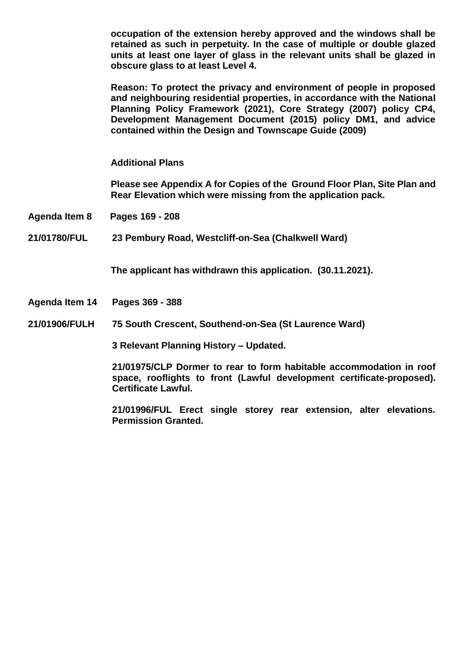**occupation of the extension hereby approved and the windows shall be retained as such in perpetuity. In the case of multiple or double glazed units at least one layer of glass in the relevant units shall be glazed in obscure glass to at least Level 4.** 

**Reason: To protect the privacy and environment of people in proposed and neighbouring residential properties, in accordance with the National Planning Policy Framework (2021), Core Strategy (2007) policy CP4, Development Management Document (2015) policy DM1, and advice contained within the Design and Townscape Guide (2009)**

**Additional Plans** 

**Please see Appendix A for Copies of the Ground Floor Plan, Site Plan and Rear Elevation which were missing from the application pack.** 

**Agenda Item 8 Pages 169 - 208**

**21/01780/FUL 23 Pembury Road, Westcliff-on-Sea (Chalkwell Ward)**

**The applicant has withdrawn this application. (30.11.2021).**

- **Agenda Item 14 Pages 369 - 388**
- **21/01906/FULH 75 South Crescent, Southend-on-Sea (St Laurence Ward)**

**3 Relevant Planning History – Updated.**

**21/01975/CLP Dormer to rear to form habitable accommodation in roof space, rooflights to front (Lawful development certificate-proposed). Certificate Lawful.** 

**21/01996/FUL Erect single storey rear extension, alter elevations. Permission Granted.**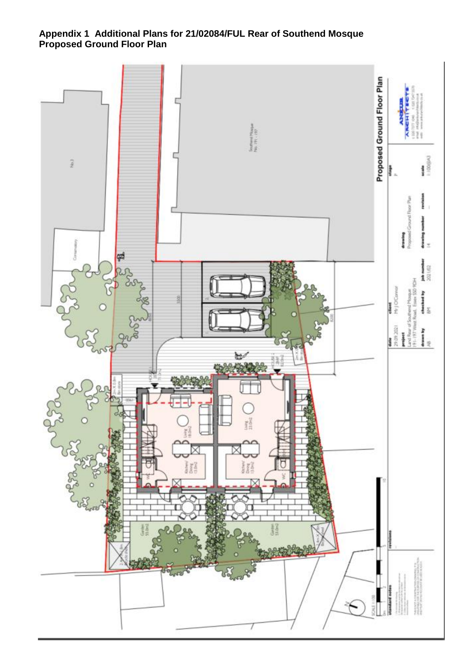### **Appendix 1 Additional Plans for 21/02084/FUL Rear of Southend Mosque Proposed Ground Floor Plan**

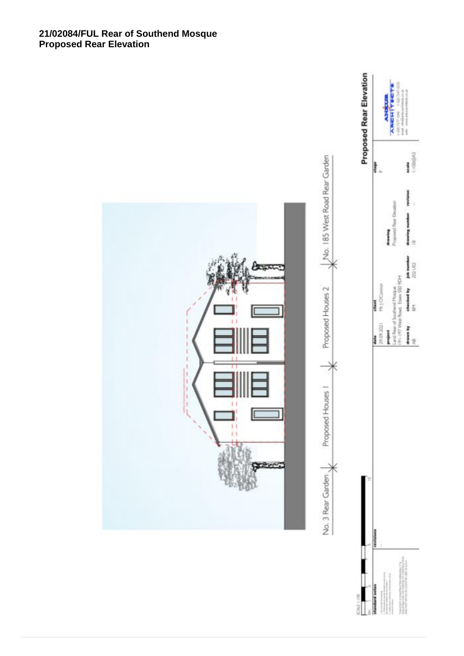#### **21/02084/FUL Rear of Southend Mosque Proposed Rear Elevation**